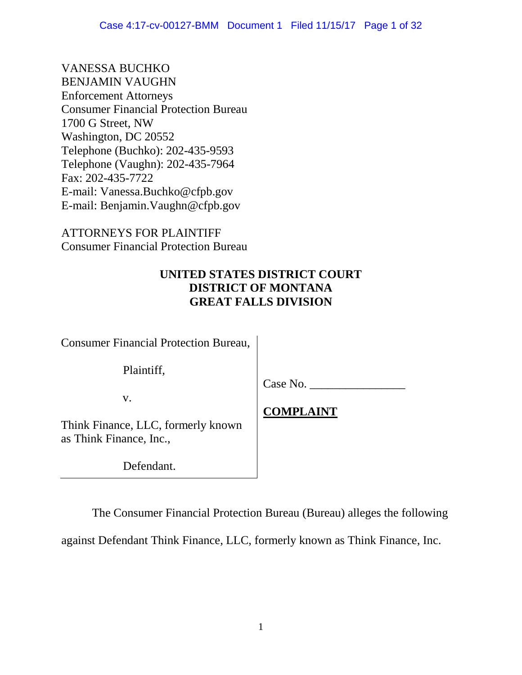VANESSA BUCHKO BENJAMIN VAUGHN Enforcement Attorneys Consumer Financial Protection Bureau 1700 G Street, NW Washington, DC 20552 Telephone (Buchko): 202-435-9593 Telephone (Vaughn): 202-435-7964 Fax: 202-435-7722 E-mail: Vanessa.Buchko@cfpb.gov E-mail: Benjamin.Vaughn@cfpb.gov

ATTORNEYS FOR PLAINTIFF Consumer Financial Protection Bureau

# **UNITED STATES DISTRICT COURT DISTRICT OF MONTANA GREAT FALLS DIVISION**

Consumer Financial Protection Bureau,

Plaintiff,

v.

Case No.

**COMPLAINT** 

Think Finance, LLC, formerly known as Think Finance, Inc.,

Defendant.

The Consumer Financial Protection Bureau (Bureau) alleges the following

against Defendant Think Finance, LLC, formerly known as Think Finance, Inc.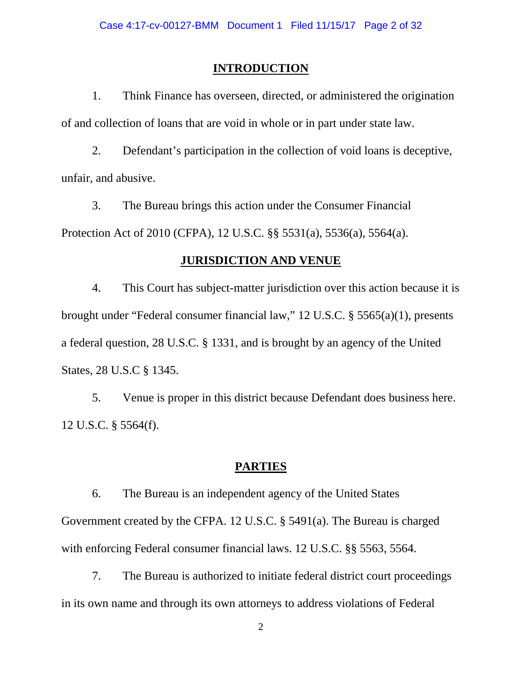### **INTRODUCTION**

1. Think Finance has overseen, directed, or administered the origination of and collection of loans that are void in whole or in part under state law.

2. Defendant's participation in the collection of void loans is deceptive, unfair, and abusive.

3. The Bureau brings this action under the Consumer Financial Protection Act of 2010 (CFPA), 12 U.S.C. §§ 5531(a), 5536(a), 5564(a).

#### **JURISDICTION AND VENUE**

4. This Court has subject-matter jurisdiction over this action because it is brought under "Federal consumer financial law," 12 U.S.C. § 5565(a)(1), presents a federal question, 28 U.S.C. § 1331, and is brought by an agency of the United States, 28 U.S.C § 1345.

5. Venue is proper in this district because Defendant does business here. 12 U.S.C. § 5564(f).

### **PARTIES**

6. The Bureau is an independent agency of the United States Government created by the CFPA. 12 U.S.C. § 5491(a). The Bureau is charged with enforcing Federal consumer financial laws. 12 U.S.C. §§ 5563, 5564.

7. The Bureau is authorized to initiate federal district court proceedings in its own name and through its own attorneys to address violations of Federal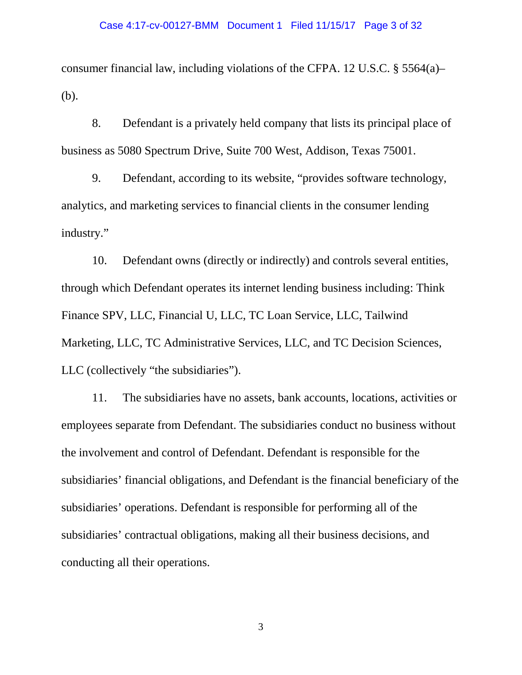consumer financial law, including violations of the CFPA. 12 U.S.C. § 5564(a)– (b).

8. Defendant is a privately held company that lists its principal place of business as 5080 Spectrum Drive, Suite 700 West, Addison, Texas 75001.

9. Defendant, according to its website, "provides software technology, analytics, and marketing services to financial clients in the consumer lending industry."

10. Defendant owns (directly or indirectly) and controls several entities, through which Defendant operates its internet lending business including: Think Finance SPV, LLC, Financial U, LLC, TC Loan Service, LLC, Tailwind Marketing, LLC, TC Administrative Services, LLC, and TC Decision Sciences, LLC (collectively "the subsidiaries").

11. The subsidiaries have no assets, bank accounts, locations, activities or employees separate from Defendant. The subsidiaries conduct no business without the involvement and control of Defendant. Defendant is responsible for the subsidiaries' financial obligations, and Defendant is the financial beneficiary of the subsidiaries' operations. Defendant is responsible for performing all of the subsidiaries' contractual obligations, making all their business decisions, and conducting all their operations.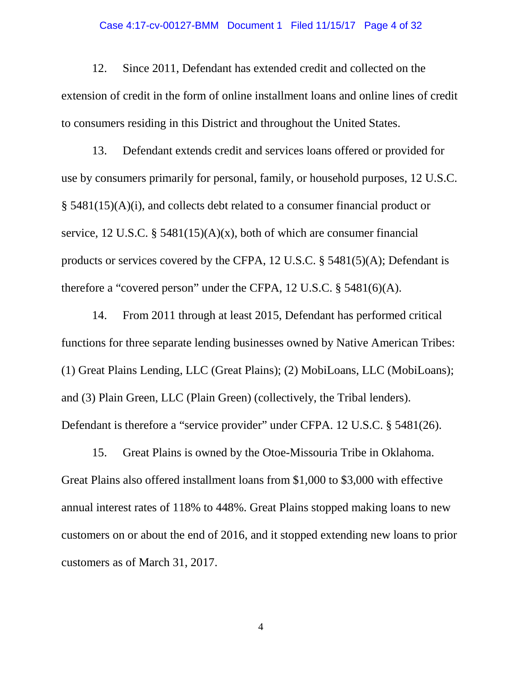### Case 4:17-cv-00127-BMM Document 1 Filed 11/15/17 Page 4 of 32

12. Since 2011, Defendant has extended credit and collected on the extension of credit in the form of online installment loans and online lines of credit to consumers residing in this District and throughout the United States.

13. Defendant extends credit and services loans offered or provided for use by consumers primarily for personal, family, or household purposes, 12 U.S.C. § 5481(15)(A)(i), and collects debt related to a consumer financial product or service, 12 U.S.C. § 5481(15)(A)(x), both of which are consumer financial products or services covered by the CFPA, 12 U.S.C. § 5481(5)(A); Defendant is therefore a "covered person" under the CFPA, 12 U.S.C. § 5481(6)(A).

14. From 2011 through at least 2015, Defendant has performed critical functions for three separate lending businesses owned by Native American Tribes: (1) Great Plains Lending, LLC (Great Plains); (2) MobiLoans, LLC (MobiLoans); and (3) Plain Green, LLC (Plain Green) (collectively, the Tribal lenders). Defendant is therefore a "service provider" under CFPA. 12 U.S.C. § 5481(26).

15. Great Plains is owned by the Otoe-Missouria Tribe in Oklahoma. Great Plains also offered installment loans from \$1,000 to \$3,000 with effective annual interest rates of 118% to 448%. Great Plains stopped making loans to new customers on or about the end of 2016, and it stopped extending new loans to prior customers as of March 31, 2017.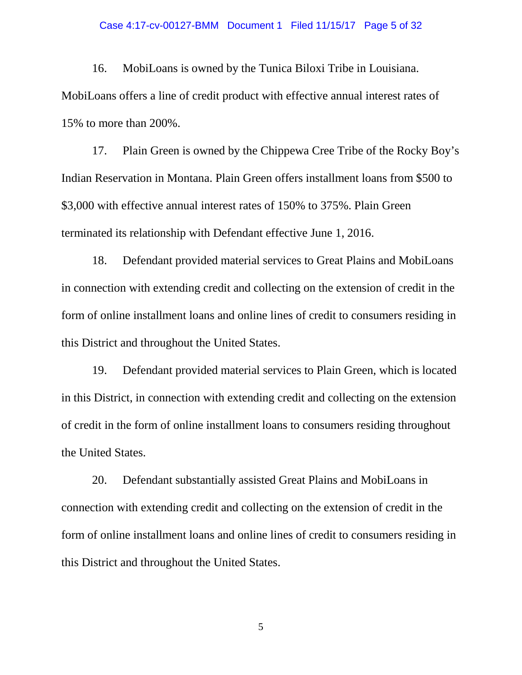#### Case 4:17-cv-00127-BMM Document 1 Filed 11/15/17 Page 5 of 32

16. MobiLoans is owned by the Tunica Biloxi Tribe in Louisiana. MobiLoans offers a line of credit product with effective annual interest rates of 15% to more than 200%.

17. Plain Green is owned by the Chippewa Cree Tribe of the Rocky Boy's Indian Reservation in Montana. Plain Green offers installment loans from \$500 to \$3,000 with effective annual interest rates of 150% to 375%. Plain Green terminated its relationship with Defendant effective June 1, 2016.

18. Defendant provided material services to Great Plains and MobiLoans in connection with extending credit and collecting on the extension of credit in the form of online installment loans and online lines of credit to consumers residing in this District and throughout the United States.

19. Defendant provided material services to Plain Green, which is located in this District, in connection with extending credit and collecting on the extension of credit in the form of online installment loans to consumers residing throughout the United States.

20. Defendant substantially assisted Great Plains and MobiLoans in connection with extending credit and collecting on the extension of credit in the form of online installment loans and online lines of credit to consumers residing in this District and throughout the United States.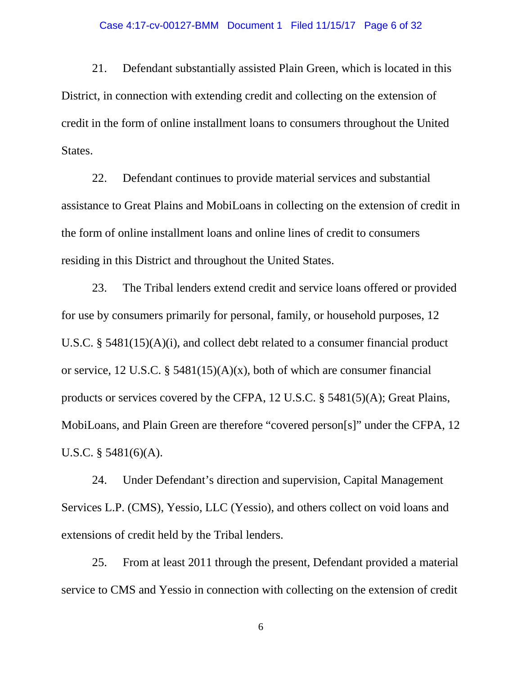### Case 4:17-cv-00127-BMM Document 1 Filed 11/15/17 Page 6 of 32

21. Defendant substantially assisted Plain Green, which is located in this District, in connection with extending credit and collecting on the extension of credit in the form of online installment loans to consumers throughout the United States.

22. Defendant continues to provide material services and substantial assistance to Great Plains and MobiLoans in collecting on the extension of credit in the form of online installment loans and online lines of credit to consumers residing in this District and throughout the United States.

23. The Tribal lenders extend credit and service loans offered or provided for use by consumers primarily for personal, family, or household purposes, 12 U.S.C. § 5481(15)(A)(i), and collect debt related to a consumer financial product or service, 12 U.S.C. § 5481(15)(A)(x), both of which are consumer financial products or services covered by the CFPA, 12 U.S.C. § 5481(5)(A); Great Plains, MobiLoans, and Plain Green are therefore "covered person[s]" under the CFPA, 12 U.S.C. § 5481(6)(A).

24. Under Defendant's direction and supervision, Capital Management Services L.P. (CMS), Yessio, LLC (Yessio), and others collect on void loans and extensions of credit held by the Tribal lenders.

25. From at least 2011 through the present, Defendant provided a material service to CMS and Yessio in connection with collecting on the extension of credit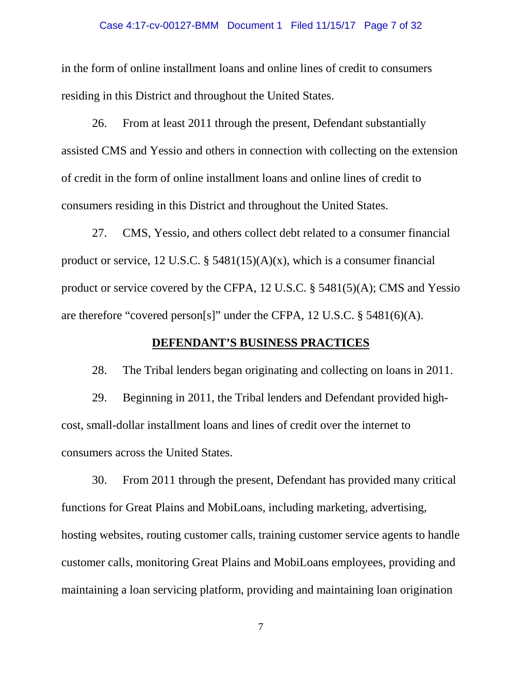### Case 4:17-cv-00127-BMM Document 1 Filed 11/15/17 Page 7 of 32

in the form of online installment loans and online lines of credit to consumers residing in this District and throughout the United States.

26. From at least 2011 through the present, Defendant substantially assisted CMS and Yessio and others in connection with collecting on the extension of credit in the form of online installment loans and online lines of credit to consumers residing in this District and throughout the United States.

27. CMS, Yessio, and others collect debt related to a consumer financial product or service, 12 U.S.C.  $\S$  5481(15)(A)(x), which is a consumer financial product or service covered by the CFPA, 12 U.S.C. § 5481(5)(A); CMS and Yessio are therefore "covered person[s]" under the CFPA, 12 U.S.C. § 5481(6)(A).

## **DEFENDANT'S BUSINESS PRACTICES**

28. The Tribal lenders began originating and collecting on loans in 2011.

29. Beginning in 2011, the Tribal lenders and Defendant provided highcost, small-dollar installment loans and lines of credit over the internet to consumers across the United States.

30. From 2011 through the present, Defendant has provided many critical functions for Great Plains and MobiLoans, including marketing, advertising, hosting websites, routing customer calls, training customer service agents to handle customer calls, monitoring Great Plains and MobiLoans employees, providing and maintaining a loan servicing platform, providing and maintaining loan origination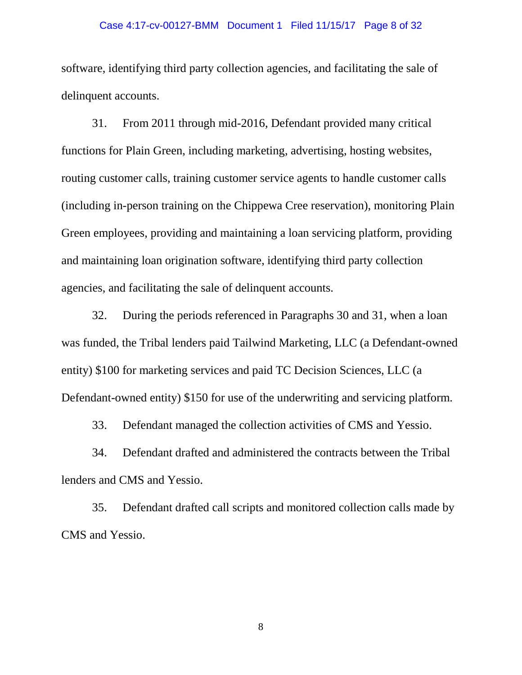### Case 4:17-cv-00127-BMM Document 1 Filed 11/15/17 Page 8 of 32

software, identifying third party collection agencies, and facilitating the sale of delinquent accounts.

31. From 2011 through mid-2016, Defendant provided many critical functions for Plain Green, including marketing, advertising, hosting websites, routing customer calls, training customer service agents to handle customer calls (including in-person training on the Chippewa Cree reservation), monitoring Plain Green employees, providing and maintaining a loan servicing platform, providing and maintaining loan origination software, identifying third party collection agencies, and facilitating the sale of delinquent accounts.

32. During the periods referenced in Paragraphs 30 and 31, when a loan was funded, the Tribal lenders paid Tailwind Marketing, LLC (a Defendant-owned entity) \$100 for marketing services and paid TC Decision Sciences, LLC (a Defendant-owned entity) \$150 for use of the underwriting and servicing platform.

33. Defendant managed the collection activities of CMS and Yessio.

34. Defendant drafted and administered the contracts between the Tribal lenders and CMS and Yessio.

35. Defendant drafted call scripts and monitored collection calls made by CMS and Yessio.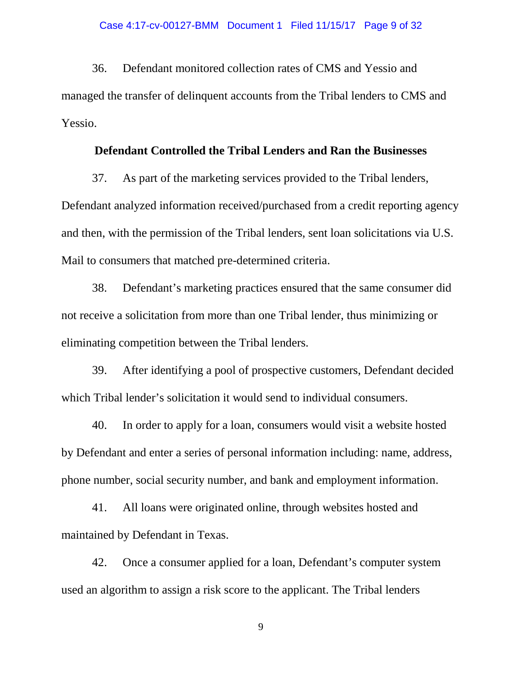36. Defendant monitored collection rates of CMS and Yessio and managed the transfer of delinquent accounts from the Tribal lenders to CMS and Yessio.

## **Defendant Controlled the Tribal Lenders and Ran the Businesses**

37. As part of the marketing services provided to the Tribal lenders, Defendant analyzed information received/purchased from a credit reporting agency and then, with the permission of the Tribal lenders, sent loan solicitations via U.S. Mail to consumers that matched pre-determined criteria.

38. Defendant's marketing practices ensured that the same consumer did not receive a solicitation from more than one Tribal lender, thus minimizing or eliminating competition between the Tribal lenders.

39. After identifying a pool of prospective customers, Defendant decided which Tribal lender's solicitation it would send to individual consumers.

40. In order to apply for a loan, consumers would visit a website hosted by Defendant and enter a series of personal information including: name, address, phone number, social security number, and bank and employment information.

41. All loans were originated online, through websites hosted and maintained by Defendant in Texas.

42. Once a consumer applied for a loan, Defendant's computer system used an algorithm to assign a risk score to the applicant. The Tribal lenders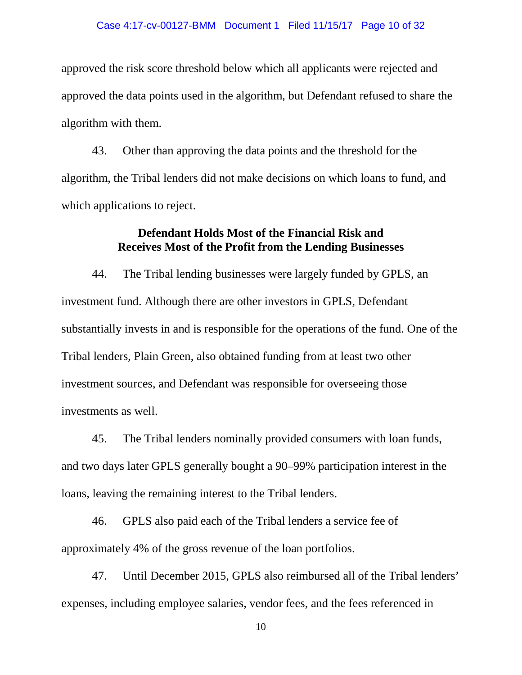approved the risk score threshold below which all applicants were rejected and approved the data points used in the algorithm, but Defendant refused to share the algorithm with them.

43. Other than approving the data points and the threshold for the algorithm, the Tribal lenders did not make decisions on which loans to fund, and which applications to reject.

## **Defendant Holds Most of the Financial Risk and Receives Most of the Profit from the Lending Businesses**

44. The Tribal lending businesses were largely funded by GPLS, an investment fund. Although there are other investors in GPLS, Defendant substantially invests in and is responsible for the operations of the fund. One of the Tribal lenders, Plain Green, also obtained funding from at least two other investment sources, and Defendant was responsible for overseeing those investments as well.

45. The Tribal lenders nominally provided consumers with loan funds, and two days later GPLS generally bought a 90–99% participation interest in the loans, leaving the remaining interest to the Tribal lenders.

46. GPLS also paid each of the Tribal lenders a service fee of approximately 4% of the gross revenue of the loan portfolios.

47. Until December 2015, GPLS also reimbursed all of the Tribal lenders' expenses, including employee salaries, vendor fees, and the fees referenced in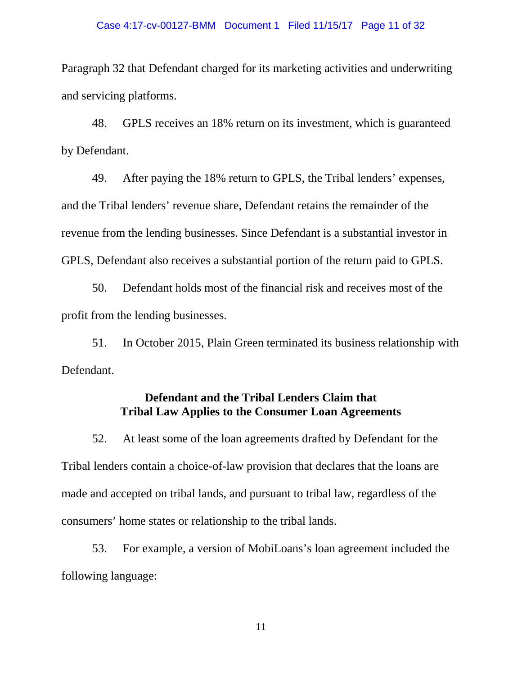### Case 4:17-cv-00127-BMM Document 1 Filed 11/15/17 Page 11 of 32

Paragraph 32 that Defendant charged for its marketing activities and underwriting and servicing platforms.

48. GPLS receives an 18% return on its investment, which is guaranteed by Defendant.

49. After paying the 18% return to GPLS, the Tribal lenders' expenses, and the Tribal lenders' revenue share, Defendant retains the remainder of the revenue from the lending businesses. Since Defendant is a substantial investor in GPLS, Defendant also receives a substantial portion of the return paid to GPLS.

50. Defendant holds most of the financial risk and receives most of the profit from the lending businesses.

51. In October 2015, Plain Green terminated its business relationship with Defendant.

## **Defendant and the Tribal Lenders Claim that Tribal Law Applies to the Consumer Loan Agreements**

52. At least some of the loan agreements drafted by Defendant for the Tribal lenders contain a choice-of-law provision that declares that the loans are made and accepted on tribal lands, and pursuant to tribal law, regardless of the consumers' home states or relationship to the tribal lands.

53. For example, a version of MobiLoans's loan agreement included the following language: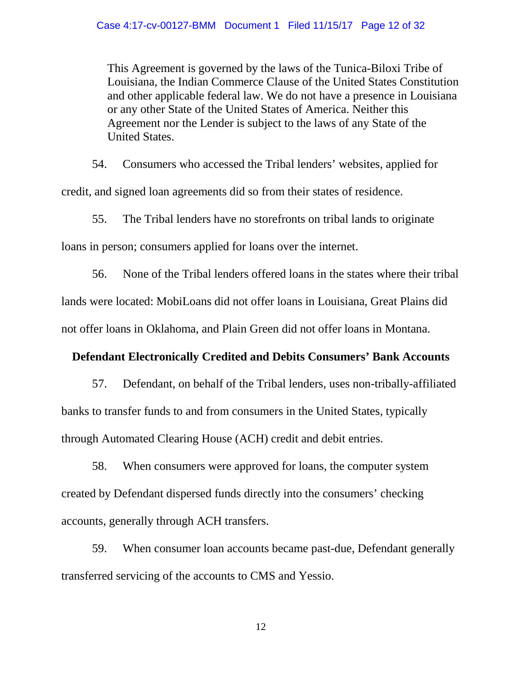This Agreement is governed by the laws of the Tunica-Biloxi Tribe of Louisiana, the Indian Commerce Clause of the United States Constitution and other applicable federal law. We do not have a presence in Louisiana or any other State of the United States of America. Neither this Agreement nor the Lender is subject to the laws of any State of the United States.

54. Consumers who accessed the Tribal lenders' websites, applied for credit, and signed loan agreements did so from their states of residence.

55. The Tribal lenders have no storefronts on tribal lands to originate loans in person; consumers applied for loans over the internet.

56. None of the Tribal lenders offered loans in the states where their tribal lands were located: MobiLoans did not offer loans in Louisiana, Great Plains did not offer loans in Oklahoma, and Plain Green did not offer loans in Montana.

# **Defendant Electronically Credited and Debits Consumers' Bank Accounts**

57. Defendant, on behalf of the Tribal lenders, uses non-tribally-affiliated banks to transfer funds to and from consumers in the United States, typically through Automated Clearing House (ACH) credit and debit entries.

58. When consumers were approved for loans, the computer system created by Defendant dispersed funds directly into the consumers' checking accounts, generally through ACH transfers.

59. When consumer loan accounts became past-due, Defendant generally transferred servicing of the accounts to CMS and Yessio.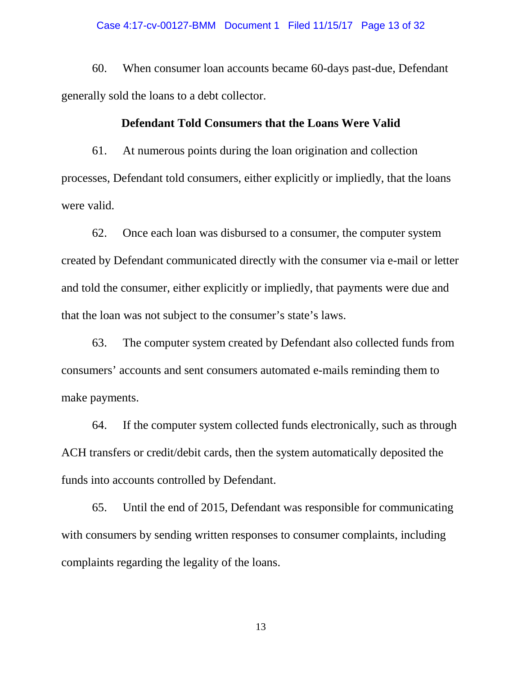60. When consumer loan accounts became 60-days past-due, Defendant generally sold the loans to a debt collector.

## **Defendant Told Consumers that the Loans Were Valid**

61. At numerous points during the loan origination and collection processes, Defendant told consumers, either explicitly or impliedly, that the loans were valid.

62. Once each loan was disbursed to a consumer, the computer system created by Defendant communicated directly with the consumer via e-mail or letter and told the consumer, either explicitly or impliedly, that payments were due and that the loan was not subject to the consumer's state's laws.

63. The computer system created by Defendant also collected funds from consumers' accounts and sent consumers automated e-mails reminding them to make payments.

64. If the computer system collected funds electronically, such as through ACH transfers or credit/debit cards, then the system automatically deposited the funds into accounts controlled by Defendant.

65. Until the end of 2015, Defendant was responsible for communicating with consumers by sending written responses to consumer complaints, including complaints regarding the legality of the loans.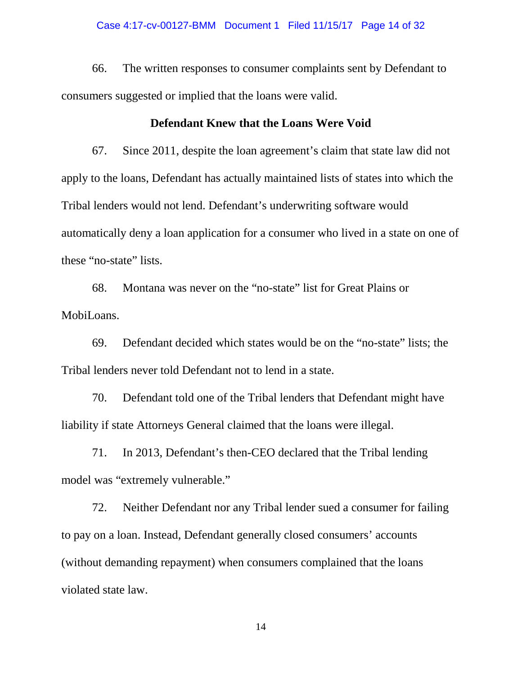#### Case 4:17-cv-00127-BMM Document 1 Filed 11/15/17 Page 14 of 32

66. The written responses to consumer complaints sent by Defendant to consumers suggested or implied that the loans were valid.

### **Defendant Knew that the Loans Were Void**

67. Since 2011, despite the loan agreement's claim that state law did not apply to the loans, Defendant has actually maintained lists of states into which the Tribal lenders would not lend. Defendant's underwriting software would automatically deny a loan application for a consumer who lived in a state on one of these "no-state" lists.

68. Montana was never on the "no-state" list for Great Plains or MobiLoans.

69. Defendant decided which states would be on the "no-state" lists; the Tribal lenders never told Defendant not to lend in a state.

70. Defendant told one of the Tribal lenders that Defendant might have liability if state Attorneys General claimed that the loans were illegal.

71. In 2013, Defendant's then-CEO declared that the Tribal lending model was "extremely vulnerable."

72. Neither Defendant nor any Tribal lender sued a consumer for failing to pay on a loan. Instead, Defendant generally closed consumers' accounts (without demanding repayment) when consumers complained that the loans violated state law.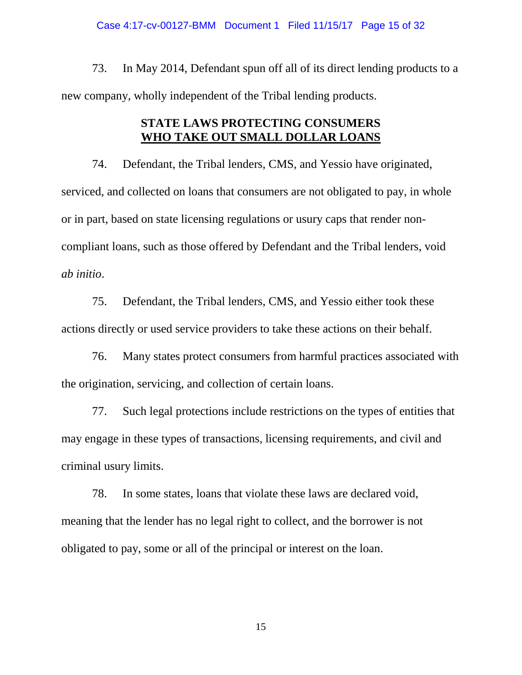73. In May 2014, Defendant spun off all of its direct lending products to a new company, wholly independent of the Tribal lending products.

# **STATE LAWS PROTECTING CONSUMERS WHO TAKE OUT SMALL DOLLAR LOANS**

74. Defendant, the Tribal lenders, CMS, and Yessio have originated, serviced, and collected on loans that consumers are not obligated to pay, in whole or in part, based on state licensing regulations or usury caps that render noncompliant loans, such as those offered by Defendant and the Tribal lenders, void *ab initio*.

75. Defendant, the Tribal lenders, CMS, and Yessio either took these actions directly or used service providers to take these actions on their behalf.

76. Many states protect consumers from harmful practices associated with the origination, servicing, and collection of certain loans.

77. Such legal protections include restrictions on the types of entities that may engage in these types of transactions, licensing requirements, and civil and criminal usury limits.

78. In some states, loans that violate these laws are declared void, meaning that the lender has no legal right to collect, and the borrower is not obligated to pay, some or all of the principal or interest on the loan.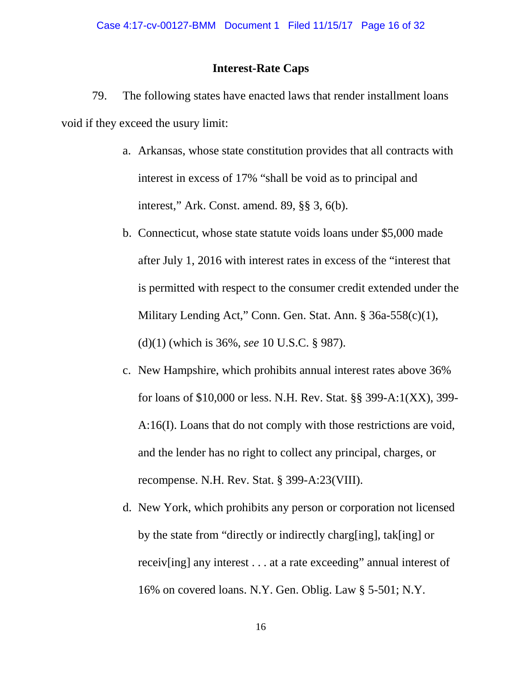### **Interest-Rate Caps**

79. The following states have enacted laws that render installment loans void if they exceed the usury limit:

- a. Arkansas, whose state constitution provides that all contracts with interest in excess of 17% "shall be void as to principal and interest," Ark. Const. amend. 89, §§ 3, 6(b).
- b. Connecticut, whose state statute voids loans under \$5,000 made after July 1, 2016 with interest rates in excess of the "interest that is permitted with respect to the consumer credit extended under the Military Lending Act," Conn. Gen. Stat. Ann. § 36a-558(c)(1), (d)(1) (which is 36%, *see* 10 U.S.C. § 987).
- c. New Hampshire, which prohibits annual interest rates above 36% for loans of \$10,000 or less. N.H. Rev. Stat. §§ 399-A:1(XX), 399- A:16(I). Loans that do not comply with those restrictions are void, and the lender has no right to collect any principal, charges, or recompense. N.H. Rev. Stat. § 399-A:23(VIII).
- d. New York, which prohibits any person or corporation not licensed by the state from "directly or indirectly charg[ing], tak[ing] or receiv[ing] any interest . . . at a rate exceeding" annual interest of 16% on covered loans. N.Y. Gen. Oblig. Law § 5-501; N.Y.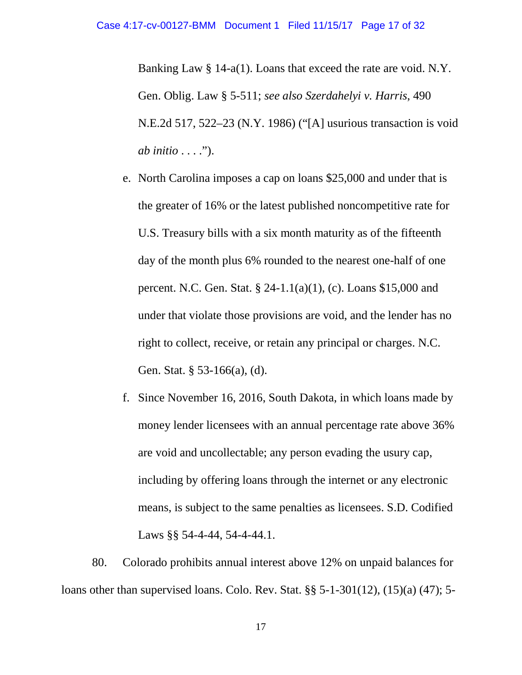Banking Law § 14-a(1). Loans that exceed the rate are void. N.Y. Gen. Oblig. Law § 5-511; *see also Szerdahelyi v. Harris*, 490 N.E.2d 517, 522–23 (N.Y. 1986) ("[A] usurious transaction is void *ab initio* . . . .").

- e. North Carolina imposes a cap on loans \$25,000 and under that is the greater of 16% or the latest published noncompetitive rate for U.S. Treasury bills with a six month maturity as of the fifteenth day of the month plus 6% rounded to the nearest one-half of one percent. N.C. Gen. Stat. § 24-1.1(a)(1), (c). Loans \$15,000 and under that violate those provisions are void, and the lender has no right to collect, receive, or retain any principal or charges. N.C. Gen. Stat. § 53-166(a), (d).
- f. Since November 16, 2016, South Dakota, in which loans made by money lender licensees with an annual percentage rate above 36% are void and uncollectable; any person evading the usury cap, including by offering loans through the internet or any electronic means, is subject to the same penalties as licensees. S.D. Codified Laws §§ 54-4-44, 54-4-44.1.

80. Colorado prohibits annual interest above 12% on unpaid balances for loans other than supervised loans. Colo. Rev. Stat. §§ 5-1-301(12), (15)(a) (47); 5-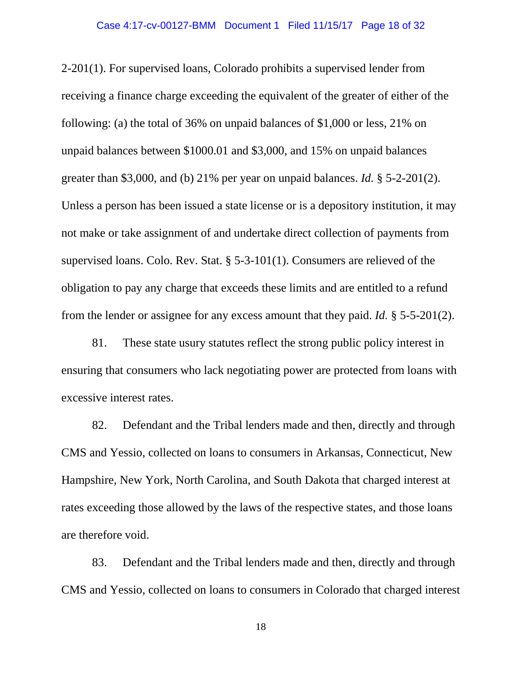2-201(1). For supervised loans, Colorado prohibits a supervised lender from receiving a finance charge exceeding the equivalent of the greater of either of the following: (a) the total of 36% on unpaid balances of \$1,000 or less, 21% on unpaid balances between \$1000.01 and \$3,000, and 15% on unpaid balances greater than \$3,000, and (b) 21% per year on unpaid balances. *Id.* § 5-2-201(2). Unless a person has been issued a state license or is a depository institution, it may not make or take assignment of and undertake direct collection of payments from supervised loans. Colo. Rev. Stat. § 5-3-101(1). Consumers are relieved of the obligation to pay any charge that exceeds these limits and are entitled to a refund from the lender or assignee for any excess amount that they paid. *Id.* § 5-5-201(2).

81. These state usury statutes reflect the strong public policy interest in ensuring that consumers who lack negotiating power are protected from loans with excessive interest rates.

82. Defendant and the Tribal lenders made and then, directly and through CMS and Yessio, collected on loans to consumers in Arkansas, Connecticut, New Hampshire, New York, North Carolina, and South Dakota that charged interest at rates exceeding those allowed by the laws of the respective states, and those loans are therefore void.

83. Defendant and the Tribal lenders made and then, directly and through CMS and Yessio, collected on loans to consumers in Colorado that charged interest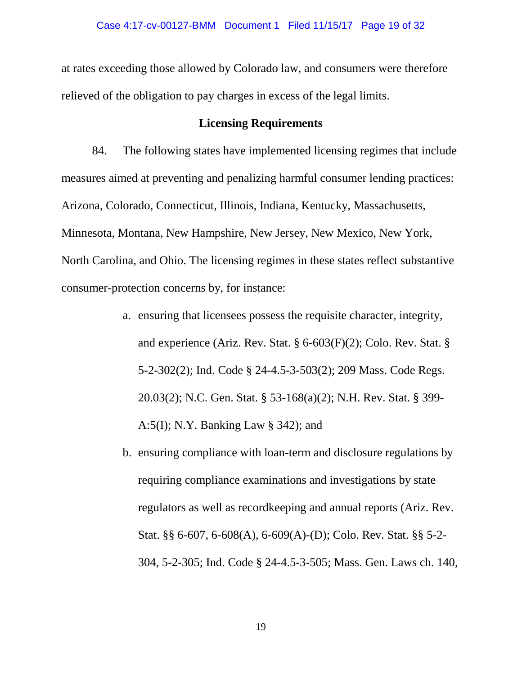at rates exceeding those allowed by Colorado law, and consumers were therefore relieved of the obligation to pay charges in excess of the legal limits.

## **Licensing Requirements**

84. The following states have implemented licensing regimes that include measures aimed at preventing and penalizing harmful consumer lending practices: Arizona, Colorado, Connecticut, Illinois, Indiana, Kentucky, Massachusetts, Minnesota, Montana, New Hampshire, New Jersey, New Mexico, New York, North Carolina, and Ohio. The licensing regimes in these states reflect substantive consumer-protection concerns by, for instance:

- a. ensuring that licensees possess the requisite character, integrity, and experience (Ariz. Rev. Stat. § 6-603(F)(2); Colo. Rev. Stat. § 5-2-302(2); Ind. Code § 24-4.5-3-503(2); 209 Mass. Code Regs. 20.03(2); N.C. Gen. Stat. § 53-168(a)(2); N.H. Rev. Stat. § 399- A:5(I); N.Y. Banking Law § 342); and
- b. ensuring compliance with loan-term and disclosure regulations by requiring compliance examinations and investigations by state regulators as well as recordkeeping and annual reports (Ariz. Rev. Stat. §§ 6-607, 6-608(A), 6-609(A)-(D); Colo. Rev. Stat. §§ 5-2- 304, 5-2-305; Ind. Code § 24-4.5-3-505; Mass. Gen. Laws ch. 140,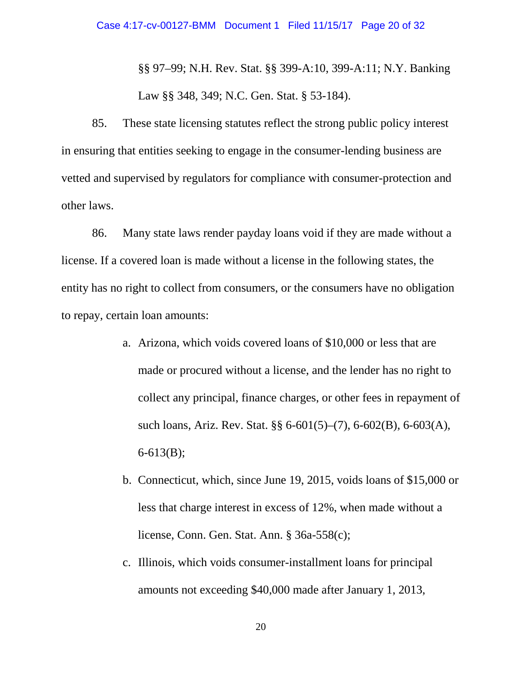§§ 97–99; N.H. Rev. Stat. §§ 399-A:10, 399-A:11; N.Y. Banking Law §§ 348, 349; N.C. Gen. Stat. § 53-184).

85. These state licensing statutes reflect the strong public policy interest in ensuring that entities seeking to engage in the consumer-lending business are vetted and supervised by regulators for compliance with consumer-protection and other laws.

86. Many state laws render payday loans void if they are made without a license. If a covered loan is made without a license in the following states, the entity has no right to collect from consumers, or the consumers have no obligation to repay, certain loan amounts:

- a. Arizona, which voids covered loans of \$10,000 or less that are made or procured without a license, and the lender has no right to collect any principal, finance charges, or other fees in repayment of such loans, Ariz. Rev. Stat. §§ 6-601(5)–(7), 6-602(B), 6-603(A), 6-613(B);
- b. Connecticut, which, since June 19, 2015, voids loans of \$15,000 or less that charge interest in excess of 12%, when made without a license, Conn. Gen. Stat. Ann. § 36a-558(c);
- c. Illinois, which voids consumer-installment loans for principal amounts not exceeding \$40,000 made after January 1, 2013,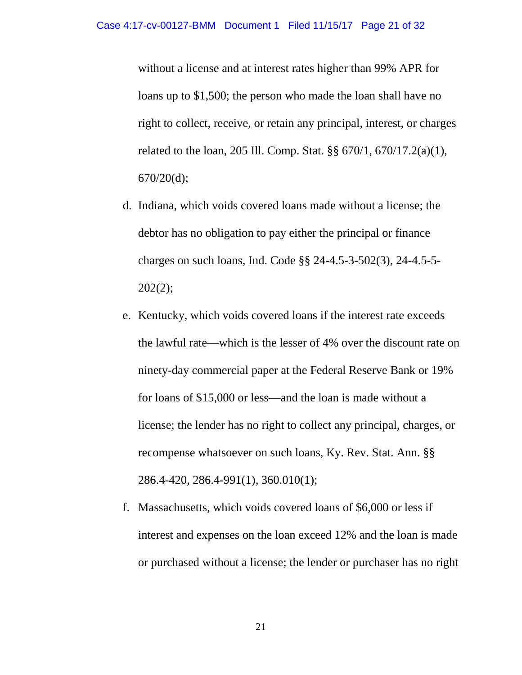without a license and at interest rates higher than 99% APR for loans up to \$1,500; the person who made the loan shall have no right to collect, receive, or retain any principal, interest, or charges related to the loan, 205 Ill. Comp. Stat. §§ 670/1, 670/17.2(a)(1),  $670/20(d);$ 

- d. Indiana, which voids covered loans made without a license; the debtor has no obligation to pay either the principal or finance charges on such loans, Ind. Code §§ 24-4.5-3-502(3), 24-4.5-5- 202(2);
- e. Kentucky, which voids covered loans if the interest rate exceeds the lawful rate—which is the lesser of 4% over the discount rate on ninety-day commercial paper at the Federal Reserve Bank or 19% for loans of \$15,000 or less—and the loan is made without a license; the lender has no right to collect any principal, charges, or recompense whatsoever on such loans, Ky. Rev. Stat. Ann. §§ 286.4-420, 286.4-991(1), 360.010(1);
- f. Massachusetts, which voids covered loans of \$6,000 or less if interest and expenses on the loan exceed 12% and the loan is made or purchased without a license; the lender or purchaser has no right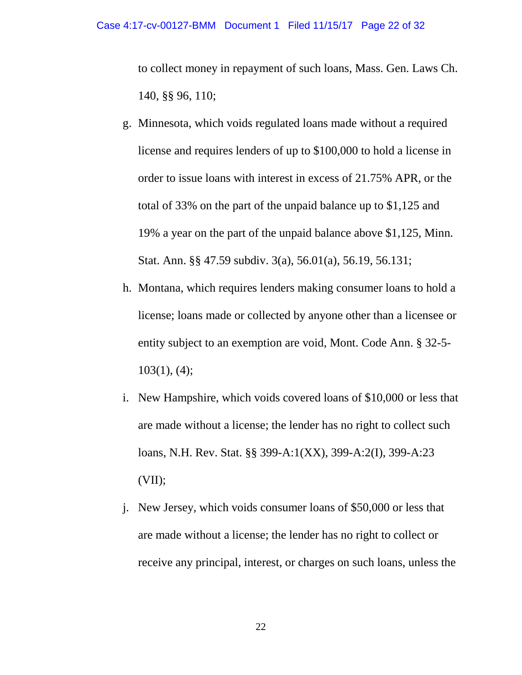to collect money in repayment of such loans, Mass. Gen. Laws Ch. 140, §§ 96, 110;

- g. Minnesota, which voids regulated loans made without a required license and requires lenders of up to \$100,000 to hold a license in order to issue loans with interest in excess of 21.75% APR, or the total of 33% on the part of the unpaid balance up to \$1,125 and 19% a year on the part of the unpaid balance above \$1,125, Minn. Stat. Ann. §§ 47.59 subdiv. 3(a), 56.01(a), 56.19, 56.131;
- h. Montana, which requires lenders making consumer loans to hold a license; loans made or collected by anyone other than a licensee or entity subject to an exemption are void, Mont. Code Ann. § 32-5-  $103(1)$ , (4);
- i. New Hampshire, which voids covered loans of \$10,000 or less that are made without a license; the lender has no right to collect such loans, N.H. Rev. Stat. §§ 399-A:1(XX), 399-A:2(I), 399-A:23  $(VII)$ ;
- j. New Jersey, which voids consumer loans of \$50,000 or less that are made without a license; the lender has no right to collect or receive any principal, interest, or charges on such loans, unless the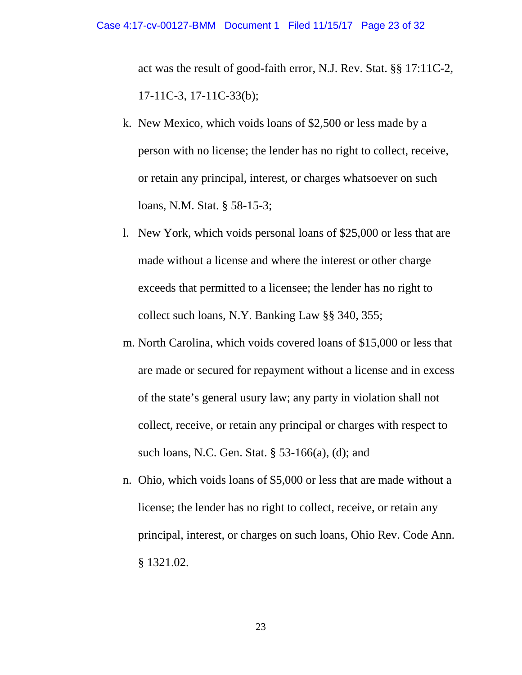act was the result of good-faith error, N.J. Rev. Stat. §§ 17:11C-2, 17-11C-3, 17-11C-33(b);

- k. New Mexico, which voids loans of \$2,500 or less made by a person with no license; the lender has no right to collect, receive, or retain any principal, interest, or charges whatsoever on such loans, N.M. Stat. § 58-15-3;
- l. New York, which voids personal loans of \$25,000 or less that are made without a license and where the interest or other charge exceeds that permitted to a licensee; the lender has no right to collect such loans, N.Y. Banking Law §§ 340, 355;
- m. North Carolina, which voids covered loans of \$15,000 or less that are made or secured for repayment without a license and in excess of the state's general usury law; any party in violation shall not collect, receive, or retain any principal or charges with respect to such loans, N.C. Gen. Stat. § 53-166(a), (d); and
- n. Ohio, which voids loans of \$5,000 or less that are made without a license; the lender has no right to collect, receive, or retain any principal, interest, or charges on such loans, Ohio Rev. Code Ann. § 1321.02.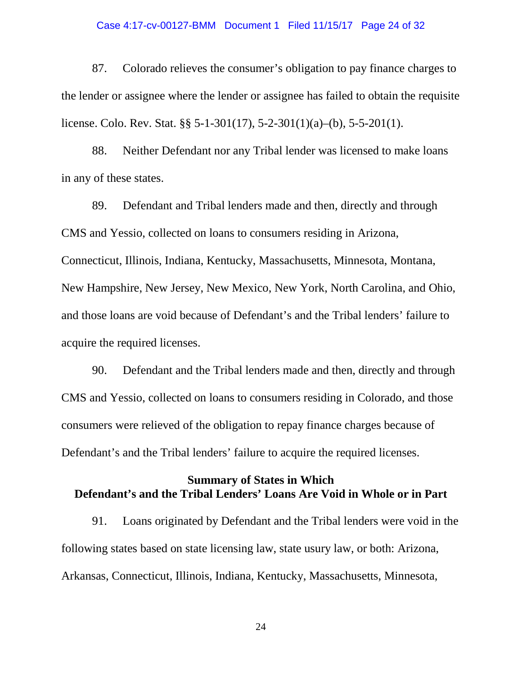#### Case 4:17-cv-00127-BMM Document 1 Filed 11/15/17 Page 24 of 32

87. Colorado relieves the consumer's obligation to pay finance charges to the lender or assignee where the lender or assignee has failed to obtain the requisite license. Colo. Rev. Stat. §§ 5-1-301(17), 5-2-301(1)(a)–(b), 5-5-201(1).

88. Neither Defendant nor any Tribal lender was licensed to make loans in any of these states.

89. Defendant and Tribal lenders made and then, directly and through CMS and Yessio, collected on loans to consumers residing in Arizona, Connecticut, Illinois, Indiana, Kentucky, Massachusetts, Minnesota, Montana, New Hampshire, New Jersey, New Mexico, New York, North Carolina, and Ohio, and those loans are void because of Defendant's and the Tribal lenders' failure to acquire the required licenses.

90. Defendant and the Tribal lenders made and then, directly and through CMS and Yessio, collected on loans to consumers residing in Colorado, and those consumers were relieved of the obligation to repay finance charges because of Defendant's and the Tribal lenders' failure to acquire the required licenses.

## **Summary of States in Which Defendant's and the Tribal Lenders' Loans Are Void in Whole or in Part**

91. Loans originated by Defendant and the Tribal lenders were void in the following states based on state licensing law, state usury law, or both: Arizona, Arkansas, Connecticut, Illinois, Indiana, Kentucky, Massachusetts, Minnesota,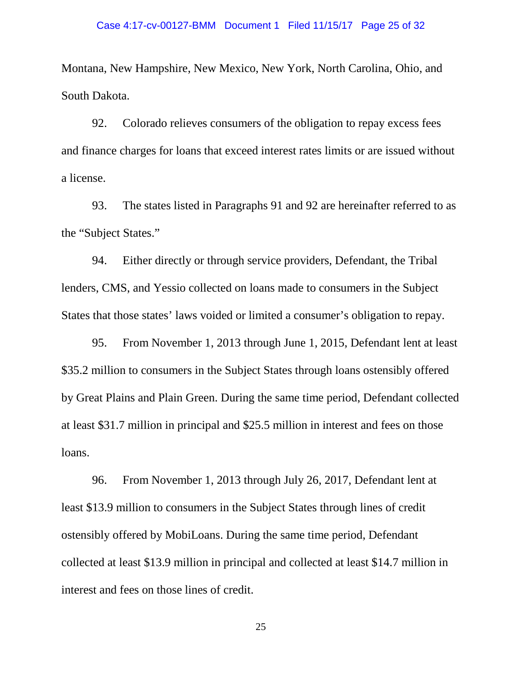Montana, New Hampshire, New Mexico, New York, North Carolina, Ohio, and South Dakota.

92. Colorado relieves consumers of the obligation to repay excess fees and finance charges for loans that exceed interest rates limits or are issued without a license.

93. The states listed in Paragraphs 91 and 92 are hereinafter referred to as the "Subject States."

94. Either directly or through service providers, Defendant, the Tribal lenders, CMS, and Yessio collected on loans made to consumers in the Subject States that those states' laws voided or limited a consumer's obligation to repay.

95. From November 1, 2013 through June 1, 2015, Defendant lent at least \$35.2 million to consumers in the Subject States through loans ostensibly offered by Great Plains and Plain Green. During the same time period, Defendant collected at least \$31.7 million in principal and \$25.5 million in interest and fees on those loans.

96. From November 1, 2013 through July 26, 2017, Defendant lent at least \$13.9 million to consumers in the Subject States through lines of credit ostensibly offered by MobiLoans. During the same time period, Defendant collected at least \$13.9 million in principal and collected at least \$14.7 million in interest and fees on those lines of credit.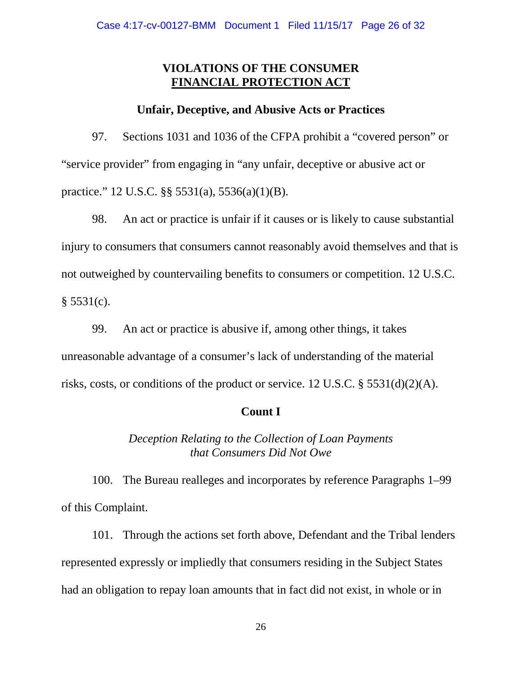## **VIOLATIONS OF THE CONSUMER FINANCIAL PROTECTION ACT**

## **Unfair, Deceptive, and Abusive Acts or Practices**

97. Sections 1031 and 1036 of the CFPA prohibit a "covered person" or "service provider" from engaging in "any unfair, deceptive or abusive act or practice." 12 U.S.C. §§ 5531(a), 5536(a)(1)(B).

98. An act or practice is unfair if it causes or is likely to cause substantial injury to consumers that consumers cannot reasonably avoid themselves and that is not outweighed by countervailing benefits to consumers or competition. 12 U.S.C.  $§ 5531(c).$ 

99. An act or practice is abusive if, among other things, it takes unreasonable advantage of a consumer's lack of understanding of the material risks, costs, or conditions of the product or service. 12 U.S.C. § 5531(d)(2)(A).

## **Count I**

*Deception Relating to the Collection of Loan Payments that Consumers Did Not Owe*

100. The Bureau realleges and incorporates by reference Paragraphs 1–99 of this Complaint.

101. Through the actions set forth above, Defendant and the Tribal lenders represented expressly or impliedly that consumers residing in the Subject States had an obligation to repay loan amounts that in fact did not exist, in whole or in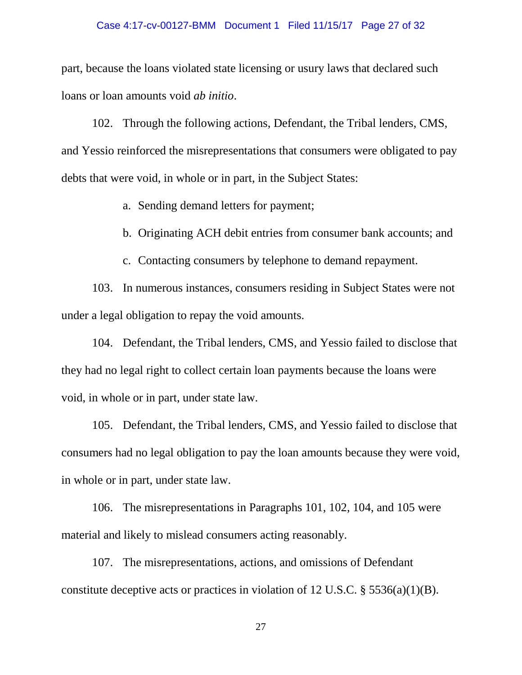#### Case 4:17-cv-00127-BMM Document 1 Filed 11/15/17 Page 27 of 32

part, because the loans violated state licensing or usury laws that declared such loans or loan amounts void *ab initio*.

102. Through the following actions, Defendant, the Tribal lenders, CMS, and Yessio reinforced the misrepresentations that consumers were obligated to pay debts that were void, in whole or in part, in the Subject States:

a. Sending demand letters for payment;

b. Originating ACH debit entries from consumer bank accounts; and

c. Contacting consumers by telephone to demand repayment.

103. In numerous instances, consumers residing in Subject States were not under a legal obligation to repay the void amounts.

104. Defendant, the Tribal lenders, CMS, and Yessio failed to disclose that they had no legal right to collect certain loan payments because the loans were void, in whole or in part, under state law.

105. Defendant, the Tribal lenders, CMS, and Yessio failed to disclose that consumers had no legal obligation to pay the loan amounts because they were void, in whole or in part, under state law.

106. The misrepresentations in Paragraphs 101, 102, 104, and 105 were material and likely to mislead consumers acting reasonably.

107. The misrepresentations, actions, and omissions of Defendant constitute deceptive acts or practices in violation of 12 U.S.C.  $\S$  5536(a)(1)(B).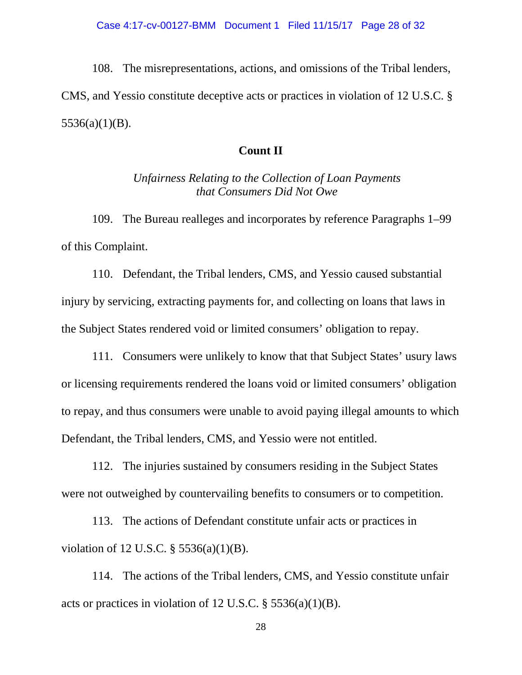108. The misrepresentations, actions, and omissions of the Tribal lenders,

CMS, and Yessio constitute deceptive acts or practices in violation of 12 U.S.C. §  $5536(a)(1)(B)$ .

## **Count II**

*Unfairness Relating to the Collection of Loan Payments that Consumers Did Not Owe*

109. The Bureau realleges and incorporates by reference Paragraphs 1–99 of this Complaint.

110. Defendant, the Tribal lenders, CMS, and Yessio caused substantial injury by servicing, extracting payments for, and collecting on loans that laws in the Subject States rendered void or limited consumers' obligation to repay.

111. Consumers were unlikely to know that that Subject States' usury laws or licensing requirements rendered the loans void or limited consumers' obligation to repay, and thus consumers were unable to avoid paying illegal amounts to which Defendant, the Tribal lenders, CMS, and Yessio were not entitled.

112. The injuries sustained by consumers residing in the Subject States were not outweighed by countervailing benefits to consumers or to competition.

113. The actions of Defendant constitute unfair acts or practices in violation of 12 U.S.C. § 5536(a)(1)(B).

114. The actions of the Tribal lenders, CMS, and Yessio constitute unfair acts or practices in violation of 12 U.S.C.  $\S$  5536(a)(1)(B).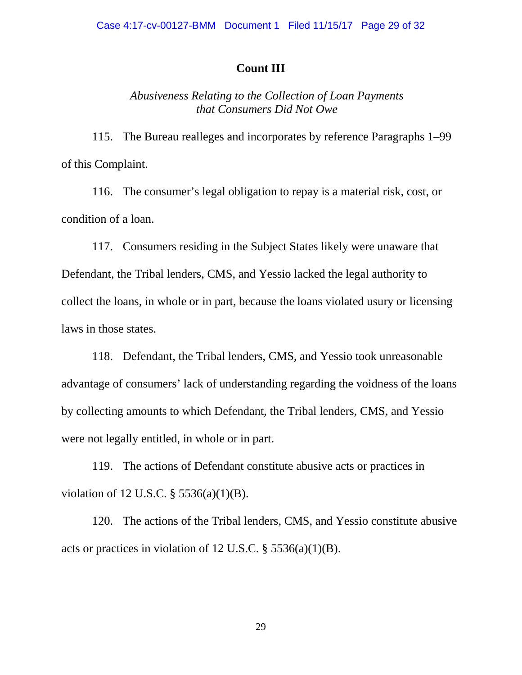## **Count III**

## *Abusiveness Relating to the Collection of Loan Payments that Consumers Did Not Owe*

115. The Bureau realleges and incorporates by reference Paragraphs 1–99 of this Complaint.

116. The consumer's legal obligation to repay is a material risk, cost, or condition of a loan.

117. Consumers residing in the Subject States likely were unaware that Defendant, the Tribal lenders, CMS, and Yessio lacked the legal authority to collect the loans, in whole or in part, because the loans violated usury or licensing laws in those states.

118. Defendant, the Tribal lenders, CMS, and Yessio took unreasonable advantage of consumers' lack of understanding regarding the voidness of the loans by collecting amounts to which Defendant, the Tribal lenders, CMS, and Yessio were not legally entitled, in whole or in part.

119. The actions of Defendant constitute abusive acts or practices in violation of 12 U.S.C. § 5536(a)(1)(B).

120. The actions of the Tribal lenders, CMS, and Yessio constitute abusive acts or practices in violation of 12 U.S.C. § 5536(a)(1)(B).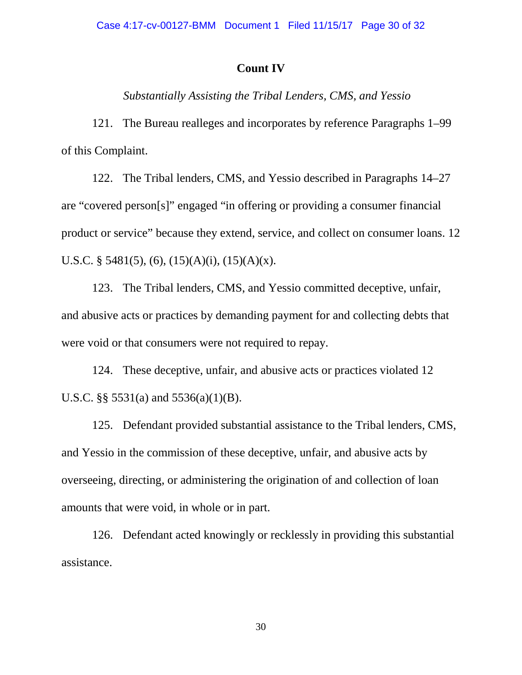## **Count IV**

*Substantially Assisting the Tribal Lenders, CMS, and Yessio*

121. The Bureau realleges and incorporates by reference Paragraphs 1–99 of this Complaint.

122. The Tribal lenders, CMS, and Yessio described in Paragraphs 14–27 are "covered person[s]" engaged "in offering or providing a consumer financial product or service" because they extend, service, and collect on consumer loans. 12 U.S.C. § 5481(5), (6), (15)(A)(i), (15)(A)(x).

123. The Tribal lenders, CMS, and Yessio committed deceptive, unfair, and abusive acts or practices by demanding payment for and collecting debts that were void or that consumers were not required to repay.

124. These deceptive, unfair, and abusive acts or practices violated 12 U.S.C. §§  $5531(a)$  and  $5536(a)(1)(B)$ .

125. Defendant provided substantial assistance to the Tribal lenders, CMS, and Yessio in the commission of these deceptive, unfair, and abusive acts by overseeing, directing, or administering the origination of and collection of loan amounts that were void, in whole or in part.

126. Defendant acted knowingly or recklessly in providing this substantial assistance.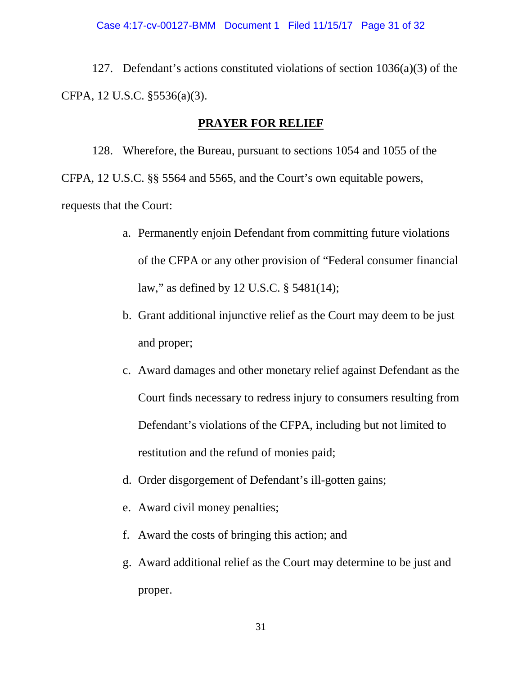127. Defendant's actions constituted violations of section 1036(a)(3) of the CFPA, 12 U.S.C. §5536(a)(3).

## **PRAYER FOR RELIEF**

128. Wherefore, the Bureau, pursuant to sections 1054 and 1055 of the CFPA, 12 U.S.C. §§ 5564 and 5565, and the Court's own equitable powers, requests that the Court:

- a. Permanently enjoin Defendant from committing future violations of the CFPA or any other provision of "Federal consumer financial law," as defined by 12 U.S.C. § 5481(14);
- b. Grant additional injunctive relief as the Court may deem to be just and proper;
- c. Award damages and other monetary relief against Defendant as the Court finds necessary to redress injury to consumers resulting from Defendant's violations of the CFPA, including but not limited to restitution and the refund of monies paid;
- d. Order disgorgement of Defendant's ill-gotten gains;
- e. Award civil money penalties;
- f. Award the costs of bringing this action; and
- g. Award additional relief as the Court may determine to be just and proper.